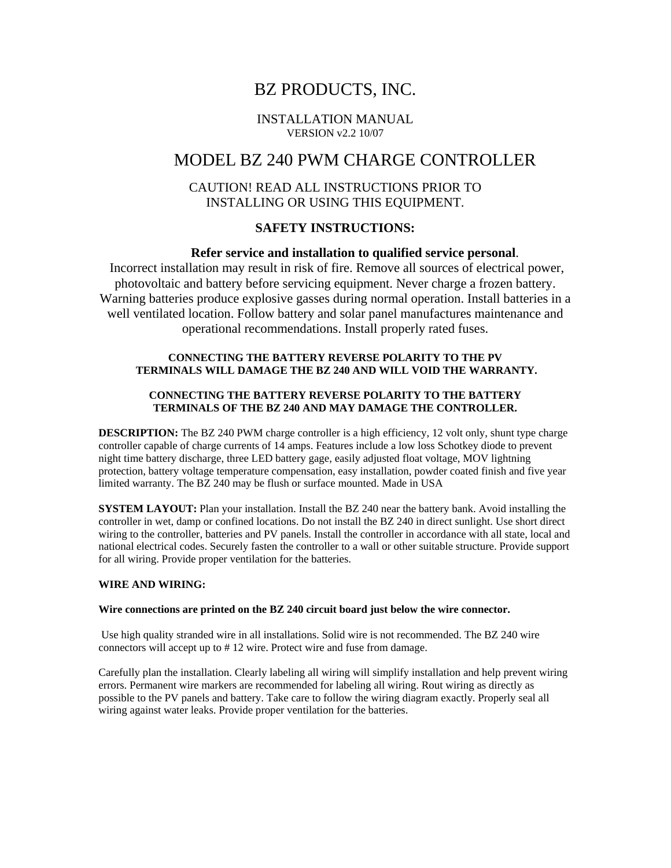# BZ PRODUCTS, INC.

#### INSTALLATION MANUAL VERSION v2.2 10/07

# MODEL BZ 240 PWM CHARGE CONTROLLER

## CAUTION! READ ALL INSTRUCTIONS PRIOR TO INSTALLING OR USING THIS EQUIPMENT.

## **SAFETY INSTRUCTIONS:**

### **Refer service and installation to qualified service personal**.

 Incorrect installation may result in risk of fire. Remove all sources of electrical power, photovoltaic and battery before servicing equipment. Never charge a frozen battery. Warning batteries produce explosive gasses during normal operation. Install batteries in a well ventilated location. Follow battery and solar panel manufactures maintenance and operational recommendations. Install properly rated fuses.

#### **CONNECTING THE BATTERY REVERSE POLARITY TO THE PV TERMINALS WILL DAMAGE THE BZ 240 AND WILL VOID THE WARRANTY.**

#### **CONNECTING THE BATTERY REVERSE POLARITY TO THE BATTERY TERMINALS OF THE BZ 240 AND MAY DAMAGE THE CONTROLLER.**

**DESCRIPTION:** The BZ 240 PWM charge controller is a high efficiency, 12 volt only, shunt type charge controller capable of charge currents of 14 amps. Features include a low loss Schotkey diode to prevent night time battery discharge, three LED battery gage, easily adjusted float voltage, MOV lightning protection, battery voltage temperature compensation, easy installation, powder coated finish and five year limited warranty. The BZ 240 may be flush or surface mounted. Made in USA

**SYSTEM LAYOUT:** Plan your installation. Install the BZ 240 near the battery bank. Avoid installing the controller in wet, damp or confined locations. Do not install the BZ 240 in direct sunlight. Use short direct wiring to the controller, batteries and PV panels. Install the controller in accordance with all state, local and national electrical codes. Securely fasten the controller to a wall or other suitable structure. Provide support for all wiring. Provide proper ventilation for the batteries.

#### **WIRE AND WIRING:**

#### **Wire connections are printed on the BZ 240 circuit board just below the wire connector.**

 Use high quality stranded wire in all installations. Solid wire is not recommended. The BZ 240 wire connectors will accept up to # 12 wire. Protect wire and fuse from damage.

Carefully plan the installation. Clearly labeling all wiring will simplify installation and help prevent wiring errors. Permanent wire markers are recommended for labeling all wiring. Rout wiring as directly as possible to the PV panels and battery. Take care to follow the wiring diagram exactly. Properly seal all wiring against water leaks. Provide proper ventilation for the batteries.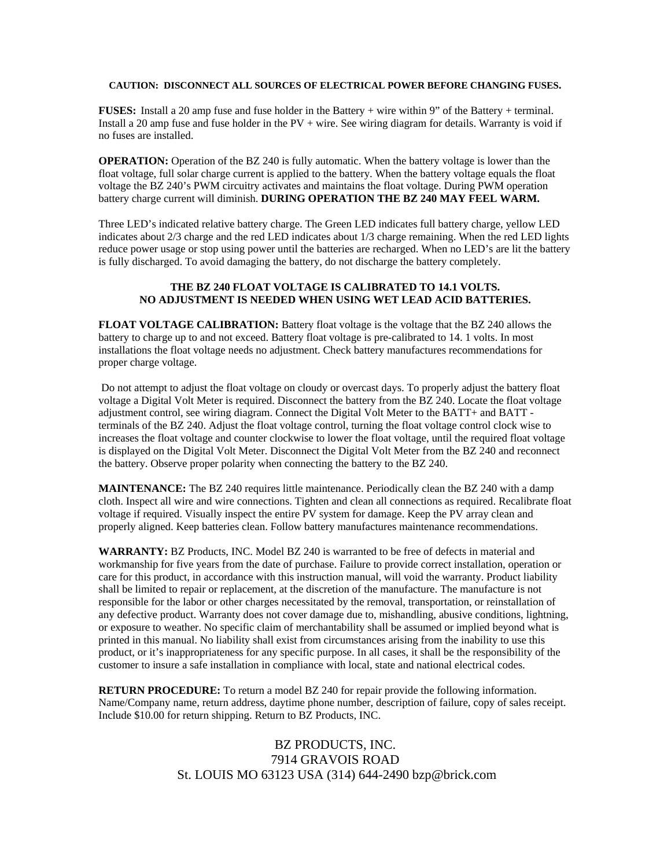#### **CAUTION: DISCONNECT ALL SOURCES OF ELECTRICAL POWER BEFORE CHANGING FUSES.**

**FUSES:** Install a 20 amp fuse and fuse holder in the Battery + wire within 9" of the Battery + terminal. Install a 20 amp fuse and fuse holder in the PV + wire. See wiring diagram for details. Warranty is void if no fuses are installed.

**OPERATION:** Operation of the BZ 240 is fully automatic. When the battery voltage is lower than the float voltage, full solar charge current is applied to the battery. When the battery voltage equals the float voltage the BZ 240's PWM circuitry activates and maintains the float voltage. During PWM operation battery charge current will diminish. **DURING OPERATION THE BZ 240 MAY FEEL WARM.**

Three LED's indicated relative battery charge. The Green LED indicates full battery charge, yellow LED indicates about 2/3 charge and the red LED indicates about 1/3 charge remaining. When the red LED lights reduce power usage or stop using power until the batteries are recharged. When no LED's are lit the battery is fully discharged. To avoid damaging the battery, do not discharge the battery completely.

#### **THE BZ 240 FLOAT VOLTAGE IS CALIBRATED TO 14.1 VOLTS. NO ADJUSTMENT IS NEEDED WHEN USING WET LEAD ACID BATTERIES.**

**FLOAT VOLTAGE CALIBRATION:** Battery float voltage is the voltage that the BZ 240 allows the battery to charge up to and not exceed. Battery float voltage is pre-calibrated to 14. 1 volts. In most installations the float voltage needs no adjustment. Check battery manufactures recommendations for proper charge voltage.

 Do not attempt to adjust the float voltage on cloudy or overcast days. To properly adjust the battery float voltage a Digital Volt Meter is required. Disconnect the battery from the BZ 240. Locate the float voltage adjustment control, see wiring diagram. Connect the Digital Volt Meter to the BATT+ and BATT terminals of the BZ 240. Adjust the float voltage control, turning the float voltage control clock wise to increases the float voltage and counter clockwise to lower the float voltage, until the required float voltage is displayed on the Digital Volt Meter. Disconnect the Digital Volt Meter from the BZ 240 and reconnect the battery. Observe proper polarity when connecting the battery to the BZ 240.

**MAINTENANCE:** The BZ 240 requires little maintenance. Periodically clean the BZ 240 with a damp cloth. Inspect all wire and wire connections. Tighten and clean all connections as required. Recalibrate float voltage if required. Visually inspect the entire PV system for damage. Keep the PV array clean and properly aligned. Keep batteries clean. Follow battery manufactures maintenance recommendations.

**WARRANTY:** BZ Products, INC. Model BZ 240 is warranted to be free of defects in material and workmanship for five years from the date of purchase. Failure to provide correct installation, operation or care for this product, in accordance with this instruction manual, will void the warranty. Product liability shall be limited to repair or replacement, at the discretion of the manufacture. The manufacture is not responsible for the labor or other charges necessitated by the removal, transportation, or reinstallation of any defective product. Warranty does not cover damage due to, mishandling, abusive conditions, lightning, or exposure to weather. No specific claim of merchantability shall be assumed or implied beyond what is printed in this manual. No liability shall exist from circumstances arising from the inability to use this product, or it's inappropriateness for any specific purpose. In all cases, it shall be the responsibility of the customer to insure a safe installation in compliance with local, state and national electrical codes.

**RETURN PROCEDURE:** To return a model BZ 240 for repair provide the following information. Name/Company name, return address, daytime phone number, description of failure, copy of sales receipt. Include \$10.00 for return shipping. Return to BZ Products, INC.

> BZ PRODUCTS, INC. 7914 GRAVOIS ROAD St. LOUIS MO 63123 USA (314) 644-2490 bzp@brick.com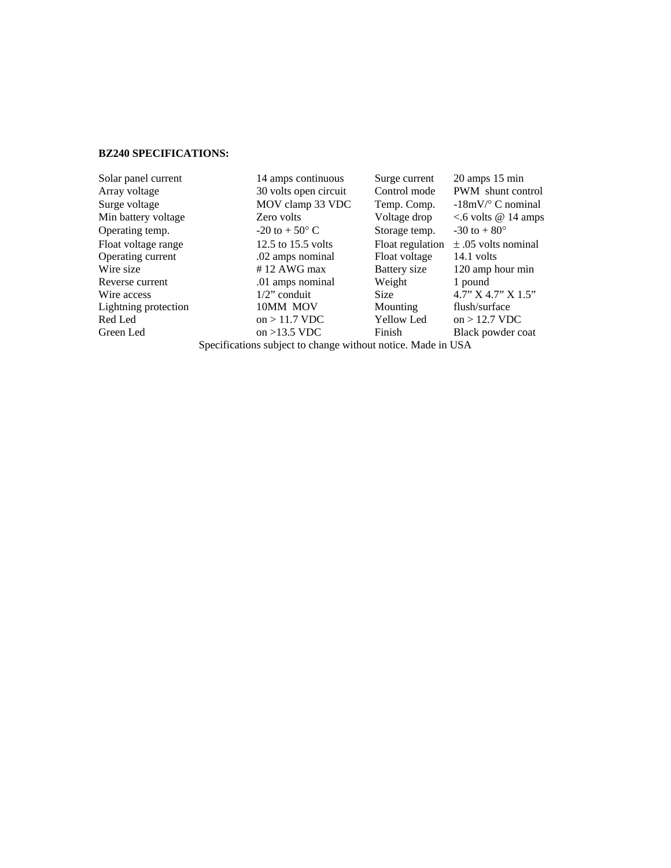#### **BZ240 SPECIFICATIONS:**

Solar panel current 14 amps continuous Surge current 20 amps 15 min Array voltage 30 volts open circuit Control mode PWM shunt control Surge voltage MOV clamp 33 VDC Temp. Comp.  $-18$ mV/° C nominal Min battery voltage  $\frac{Z}{2}$  Zero volts Voltage drop <.6 volts @ 14 amps Operating temp.  $-20 \text{ to } +50^{\circ} \text{ C}$  Storage temp.  $-30 \text{ to } +80^{\circ}$ Float voltage range 12.5 to 15.5 volts Float regulation  $\pm .05$  volts nominal<br>Operating current 0.02 amps nominal Float voltage 14.1 volts Operating current .02 amps nominal Float voltage 14.1 volts<br>Wire size #12 AWG max Battery size 120 amp h Wire size  $\# 12$  AWG max Battery size 120 amp hour min Reverse current .01 amps nominal Weight 1 pound Wire access  $1/2$ " conduit Size  $4.7$ " X  $4.7$ " X  $1.5$ " Lightning protection 10MM MOV Mounting flush/surface<br>Red Led on > 11.7 VDC Yellow Led on > 12.7 VDC on  $> 11.7$  VDC Green Led on >13.5 VDC Finish Black powder coat

Specifications subject to change without notice. Made in USA